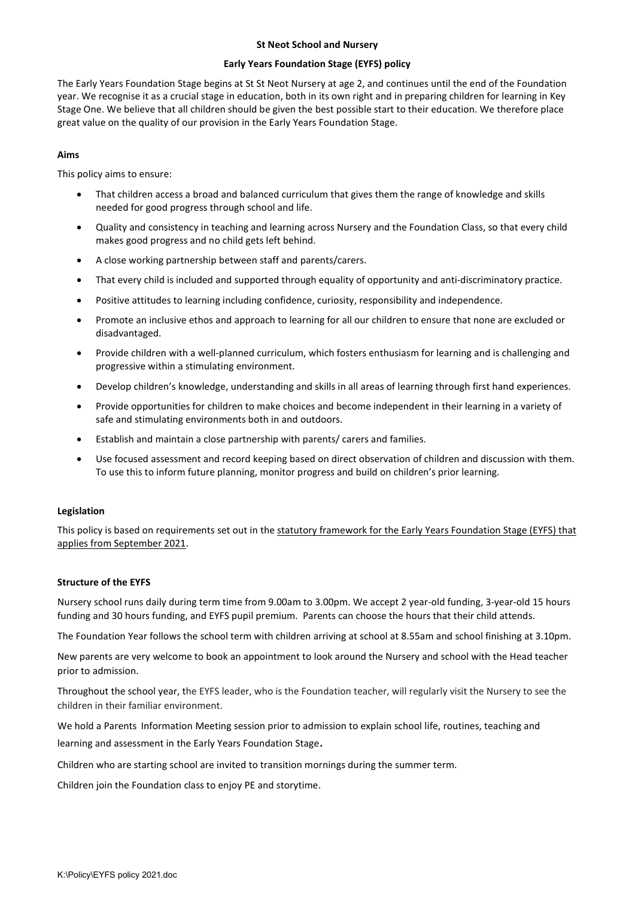#### St Neot School and Nursery

### Early Years Foundation Stage (EYFS) policy

The Early Years Foundation Stage begins at St St Neot Nursery at age 2, and continues until the end of the Foundation year. We recognise it as a crucial stage in education, both in its own right and in preparing children for learning in Key Stage One. We believe that all children should be given the best possible start to their education. We therefore place great value on the quality of our provision in the Early Years Foundation Stage.

# Aims

This policy aims to ensure:

- That children access a broad and balanced curriculum that gives them the range of knowledge and skills needed for good progress through school and life.
- Quality and consistency in teaching and learning across Nursery and the Foundation Class, so that every child makes good progress and no child gets left behind.
- A close working partnership between staff and parents/carers.
- That every child is included and supported through equality of opportunity and anti-discriminatory practice.
- Positive attitudes to learning including confidence, curiosity, responsibility and independence.
- Promote an inclusive ethos and approach to learning for all our children to ensure that none are excluded or disadvantaged.
- Provide children with a well-planned curriculum, which fosters enthusiasm for learning and is challenging and progressive within a stimulating environment.
- Develop children's knowledge, understanding and skills in all areas of learning through first hand experiences.
- Provide opportunities for children to make choices and become independent in their learning in a variety of safe and stimulating environments both in and outdoors.
- Establish and maintain a close partnership with parents/ carers and families.
- Use focused assessment and record keeping based on direct observation of children and discussion with them. To use this to inform future planning, monitor progress and build on children's prior learning.

## Legislation

This policy is based on requirements set out in the statutory framework for the Early Years Foundation Stage (EYFS) that applies from September 2021.

## Structure of the EYFS

Nursery school runs daily during term time from 9.00am to 3.00pm. We accept 2 year-old funding, 3-year-old 15 hours funding and 30 hours funding, and EYFS pupil premium. Parents can choose the hours that their child attends.

The Foundation Year follows the school term with children arriving at school at 8.55am and school finishing at 3.10pm.

New parents are very welcome to book an appointment to look around the Nursery and school with the Head teacher prior to admission.

Throughout the school year, the EYFS leader, who is the Foundation teacher, will regularly visit the Nursery to see the children in their familiar environment.

We hold a Parents Information Meeting session prior to admission to explain school life, routines, teaching and

learning and assessment in the Early Years Foundation Stage.

Children who are starting school are invited to transition mornings during the summer term.

Children join the Foundation class to enjoy PE and storytime.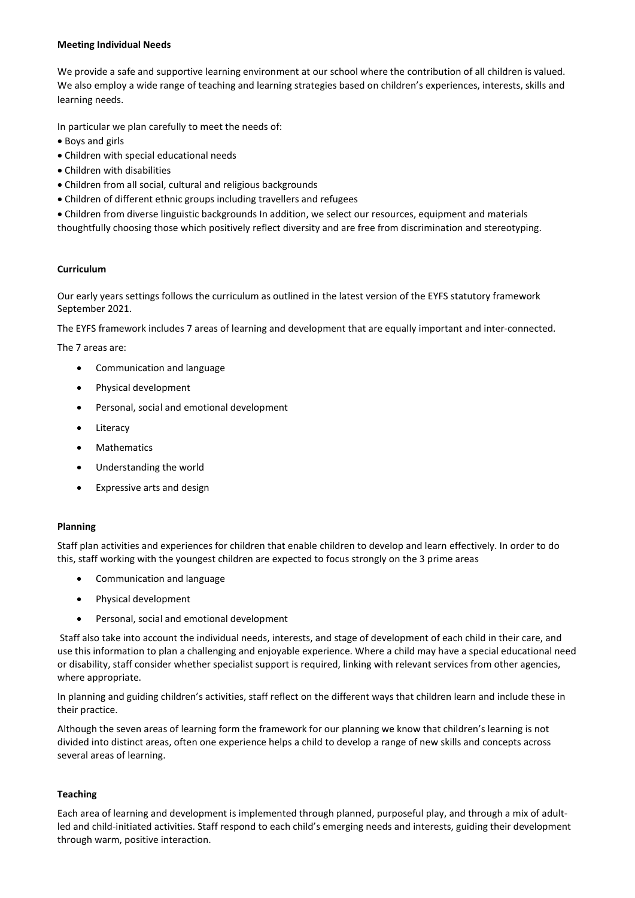#### Meeting Individual Needs

We provide a safe and supportive learning environment at our school where the contribution of all children is valued. We also employ a wide range of teaching and learning strategies based on children's experiences, interests, skills and learning needs.

In particular we plan carefully to meet the needs of:

- Boys and girls
- Children with special educational needs
- Children with disabilities
- Children from all social, cultural and religious backgrounds
- Children of different ethnic groups including travellers and refugees

 Children from diverse linguistic backgrounds In addition, we select our resources, equipment and materials thoughtfully choosing those which positively reflect diversity and are free from discrimination and stereotyping.

## Curriculum

Our early years settings follows the curriculum as outlined in the latest version of the EYFS statutory framework September 2021.

The EYFS framework includes 7 areas of learning and development that are equally important and inter-connected.

The 7 areas are:

- Communication and language
- Physical development
- Personal, social and emotional development
- Literacy
- Mathematics
- Understanding the world
- Expressive arts and design

## Planning

Staff plan activities and experiences for children that enable children to develop and learn effectively. In order to do this, staff working with the youngest children are expected to focus strongly on the 3 prime areas

- Communication and language
- Physical development
- Personal, social and emotional development

 Staff also take into account the individual needs, interests, and stage of development of each child in their care, and use this information to plan a challenging and enjoyable experience. Where a child may have a special educational need or disability, staff consider whether specialist support is required, linking with relevant services from other agencies, where appropriate.

In planning and guiding children's activities, staff reflect on the different ways that children learn and include these in their practice.

Although the seven areas of learning form the framework for our planning we know that children's learning is not divided into distinct areas, often one experience helps a child to develop a range of new skills and concepts across several areas of learning.

## Teaching

Each area of learning and development is implemented through planned, purposeful play, and through a mix of adultled and child-initiated activities. Staff respond to each child's emerging needs and interests, guiding their development through warm, positive interaction.